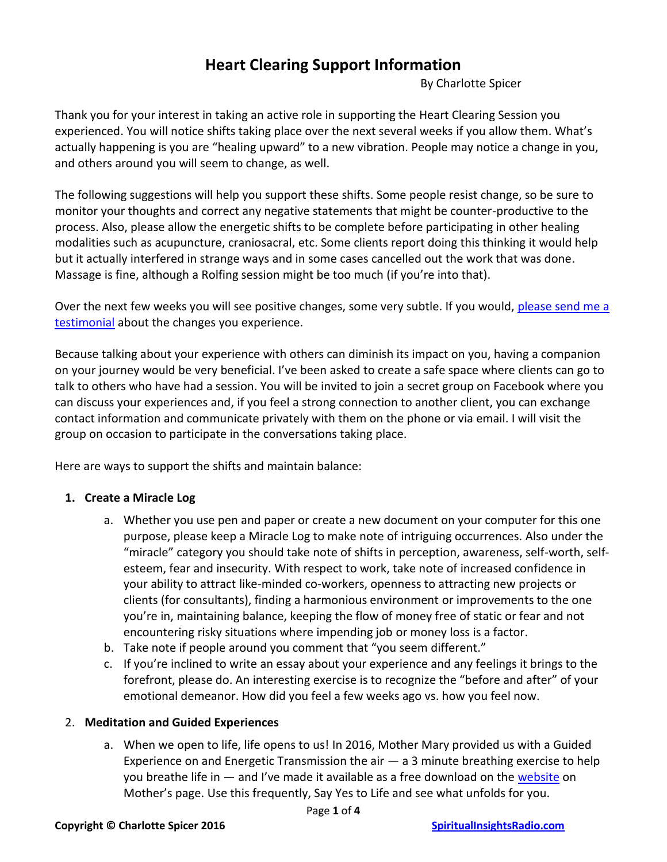# **Heart Clearing Support Information**

By Charlotte Spicer

Thank you for your interest in taking an active role in supporting the Heart Clearing Session you experienced. You will notice shifts taking place over the next several weeks if you allow them. What's actually happening is you are "healing upward" to a new vibration. People may notice a change in you, and others around you will seem to change, as well.

The following suggestions will help you support these shifts. Some people resist change, so be sure to monitor your thoughts and correct any negative statements that might be counter-productive to the process. Also, please allow the energetic shifts to be complete before participating in other healing modalities such as acupuncture, craniosacral, etc. Some clients report doing this thinking it would help but it actually interfered in strange ways and in some cases cancelled out the work that was done. Massage is fine, although a Rolfing session might be too much (if you're into that).

Over the next few weeks you will see positive changes, some very subtle. If you would, [please send me a](mailto:SpiritualInsightsRadio@gmail.com?subject=Testimonial%20about%20my%20Healing%20Session)  [testimonial](mailto:SpiritualInsightsRadio@gmail.com?subject=Testimonial%20about%20my%20Healing%20Session) about the changes you experience.

Because talking about your experience with others can diminish its impact on you, having a companion on your journey would be very beneficial. I've been asked to create a safe space where clients can go to talk to others who have had a session. You will be invited to join a secret group on Facebook where you can discuss your experiences and, if you feel a strong connection to another client, you can exchange contact information and communicate privately with them on the phone or via email. I will visit the group on occasion to participate in the conversations taking place.

Here are ways to support the shifts and maintain balance:

## **1. Create a Miracle Log**

- a. Whether you use pen and paper or create a new document on your computer for this one purpose, please keep a Miracle Log to make note of intriguing occurrences. Also under the "miracle" category you should take note of shifts in perception, awareness, self-worth, selfesteem, fear and insecurity. With respect to work, take note of increased confidence in your ability to attract like-minded co-workers, openness to attracting new projects or clients (for consultants), finding a harmonious environment or improvements to the one you're in, maintaining balance, keeping the flow of money free of static or fear and not encountering risky situations where impending job or money loss is a factor.
- b. Take note if people around you comment that "you seem different."
- c. If you're inclined to write an essay about your experience and any feelings it brings to the forefront, please do. An interesting exercise is to recognize the "before and after" of your emotional demeanor. How did you feel a few weeks ago vs. how you feel now.

## 2. **Meditation and Guided Experiences**

a. When we open to life, life opens to us! In 2016, Mother Mary provided us with a Guided Experience on and Energetic Transmission the air  $-$  a 3 minute breathing exercise to help you breathe life in  $-$  and I've made it available as a free download on the [website](http://www.spiritualinsightsradio.com/the-teachings-of-mother-mary.html) on Mother's page. Use this frequently, Say Yes to Life and see what unfolds for you.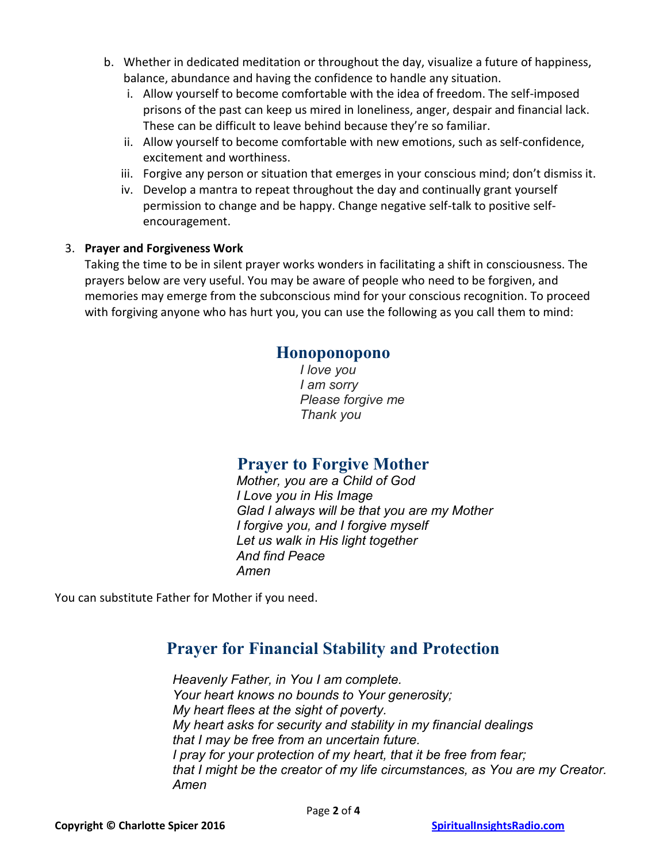- b. Whether in dedicated meditation or throughout the day, visualize a future of happiness, balance, abundance and having the confidence to handle any situation.
	- i. Allow yourself to become comfortable with the idea of freedom. The self-imposed prisons of the past can keep us mired in loneliness, anger, despair and financial lack. These can be difficult to leave behind because they're so familiar.
	- ii. Allow yourself to become comfortable with new emotions, such as self-confidence, excitement and worthiness.
	- iii. Forgive any person or situation that emerges in your conscious mind; don't dismiss it.
	- iv. Develop a mantra to repeat throughout the day and continually grant yourself permission to change and be happy. Change negative self-talk to positive selfencouragement.

#### 3. **Prayer and Forgiveness Work**

Taking the time to be in silent prayer works wonders in facilitating a shift in consciousness. The prayers below are very useful. You may be aware of people who need to be forgiven, and memories may emerge from the subconscious mind for your conscious recognition. To proceed with forgiving anyone who has hurt you, you can use the following as you call them to mind:

# **Honoponopono**

*I love you I am sorry Please forgive me Thank you*

# **Prayer to Forgive Mother**

*Mother, you are a Child of God I Love you in His Image Glad I always will be that you are my Mother I forgive you, and I forgive myself Let us walk in His light together And find Peace Amen*

You can substitute Father for Mother if you need.

# **Prayer for Financial Stability and Protection**

*Heavenly Father, in You I am complete. Your heart knows no bounds to Your generosity; My heart flees at the sight of poverty. My heart asks for security and stability in my financial dealings that I may be free from an uncertain future. I pray for your protection of my heart, that it be free from fear; that I might be the creator of my life circumstances, as You are my Creator. Amen*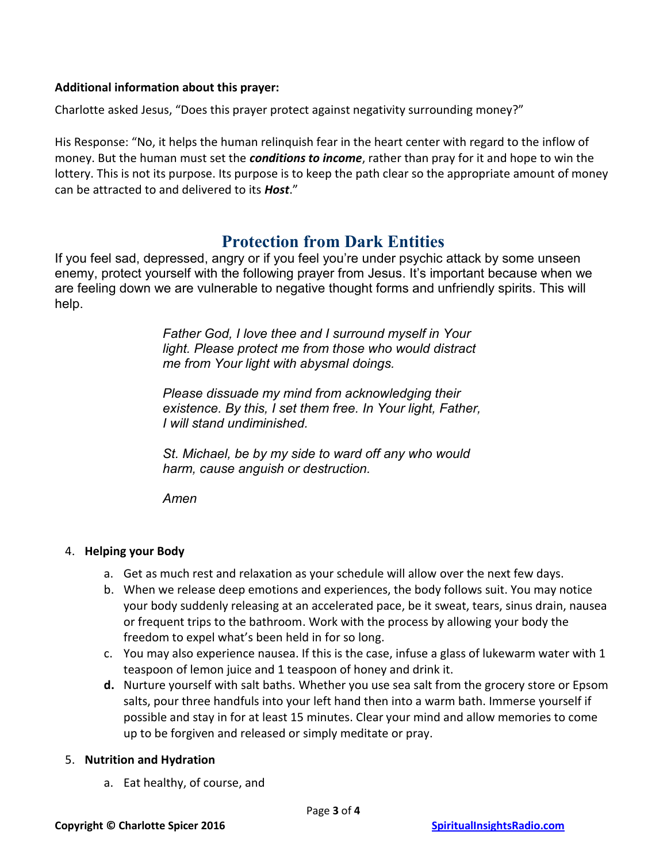#### **Additional information about this prayer:**

Charlotte asked Jesus, "Does this prayer protect against negativity surrounding money?"

His Response: "No, it helps the human relinquish fear in the heart center with regard to the inflow of money. But the human must set the *conditions to income*, rather than pray for it and hope to win the lottery. This is not its purpose. Its purpose is to keep the path clear so the appropriate amount of money can be attracted to and delivered to its *Host*."

# **Protection from Dark Entities**

If you feel sad, depressed, angry or if you feel you're under psychic attack by some unseen enemy, protect yourself with the following prayer from Jesus. It's important because when we are feeling down we are vulnerable to negative thought forms and unfriendly spirits. This will help.

> *Father God, I love thee and I surround myself in Your light. Please protect me from those who would distract me from Your light with abysmal doings.*

*Please dissuade my mind from acknowledging their existence. By this, I set them free. In Your light, Father, I will stand undiminished.*

*St. Michael, be by my side to ward off any who would harm, cause anguish or destruction.*

*Amen*

## 4. **Helping your Body**

- a. Get as much rest and relaxation as your schedule will allow over the next few days.
- b. When we release deep emotions and experiences, the body follows suit. You may notice your body suddenly releasing at an accelerated pace, be it sweat, tears, sinus drain, nausea or frequent trips to the bathroom. Work with the process by allowing your body the freedom to expel what's been held in for so long.
- c. You may also experience nausea. If this is the case, infuse a glass of lukewarm water with 1 teaspoon of lemon juice and 1 teaspoon of honey and drink it.
- **d.** Nurture yourself with salt baths. Whether you use sea salt from the grocery store or Epsom salts, pour three handfuls into your left hand then into a warm bath. Immerse yourself if possible and stay in for at least 15 minutes. Clear your mind and allow memories to come up to be forgiven and released or simply meditate or pray.

#### 5. **Nutrition and Hydration**

a. Eat healthy, of course, and